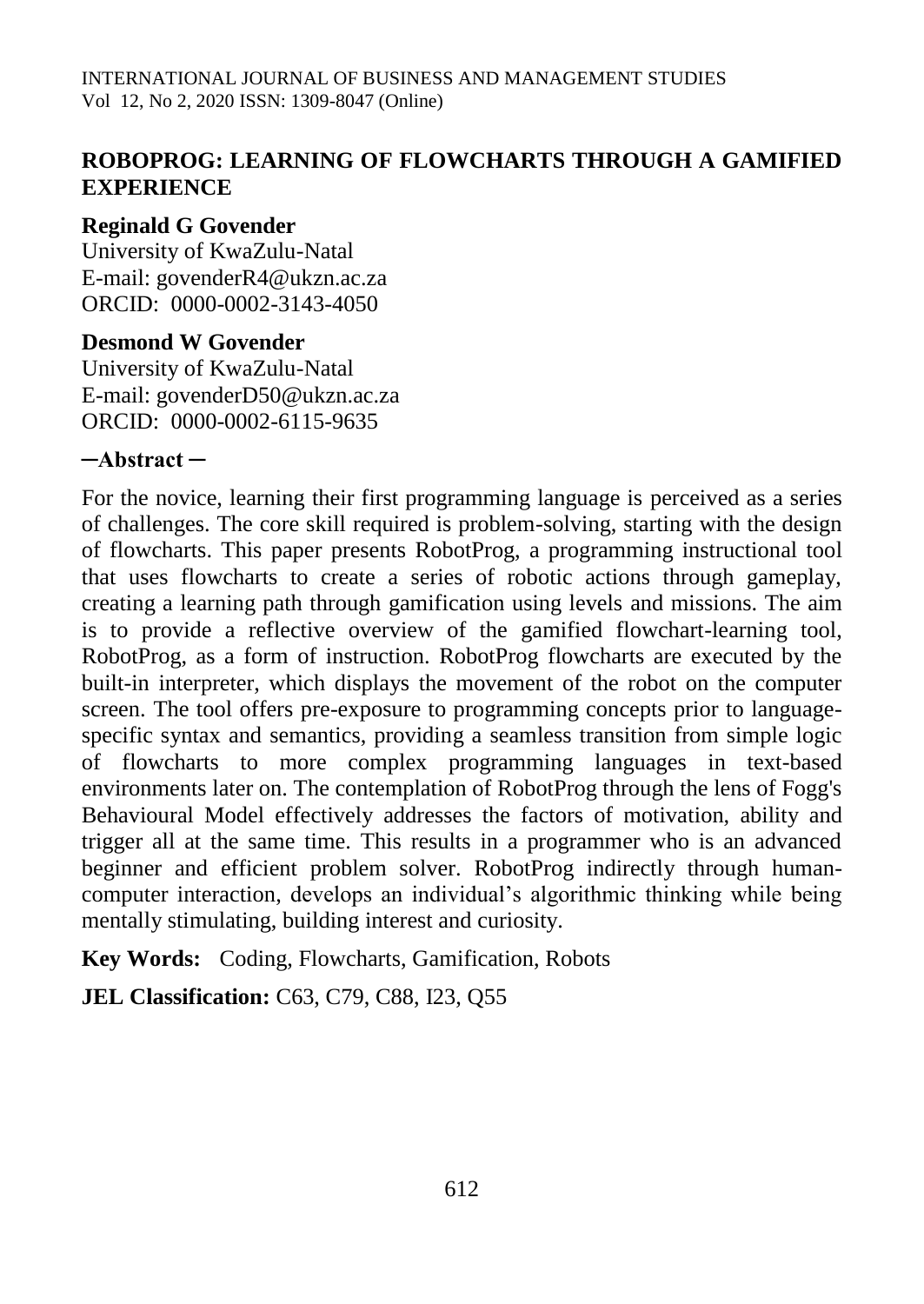# **ROBOPROG: LEARNING OF FLOWCHARTS THROUGH A GAMIFIED EXPERIENCE**

# **Reginald G Govender**

University of KwaZulu-Natal E-mail: govenderR4@ukzn.ac.za ORCID: 0000-0002-3143-4050

# **Desmond W Govender**

University of KwaZulu-Natal E-mail: govenderD50@ukzn.ac.za ORCID: 0000-0002-6115-9635

# **─Abstract ─**

For the novice, learning their first programming language is perceived as a series of challenges. The core skill required is problem-solving, starting with the design of flowcharts. This paper presents RobotProg, a programming instructional tool that uses flowcharts to create a series of robotic actions through gameplay, creating a learning path through gamification using levels and missions. The aim is to provide a reflective overview of the gamified flowchart-learning tool, RobotProg, as a form of instruction. RobotProg flowcharts are executed by the built-in interpreter, which displays the movement of the robot on the computer screen. The tool offers pre-exposure to programming concepts prior to languagespecific syntax and semantics, providing a seamless transition from simple logic of flowcharts to more complex programming languages in text-based environments later on. The contemplation of RobotProg through the lens of Fogg's Behavioural Model effectively addresses the factors of motivation, ability and trigger all at the same time. This results in a programmer who is an advanced beginner and efficient problem solver. RobotProg indirectly through humancomputer interaction, develops an individual's algorithmic thinking while being mentally stimulating, building interest and curiosity.

**Key Words:** Coding, Flowcharts, Gamification, Robots

**JEL Classification:** C63, C79, C88, I23, Q55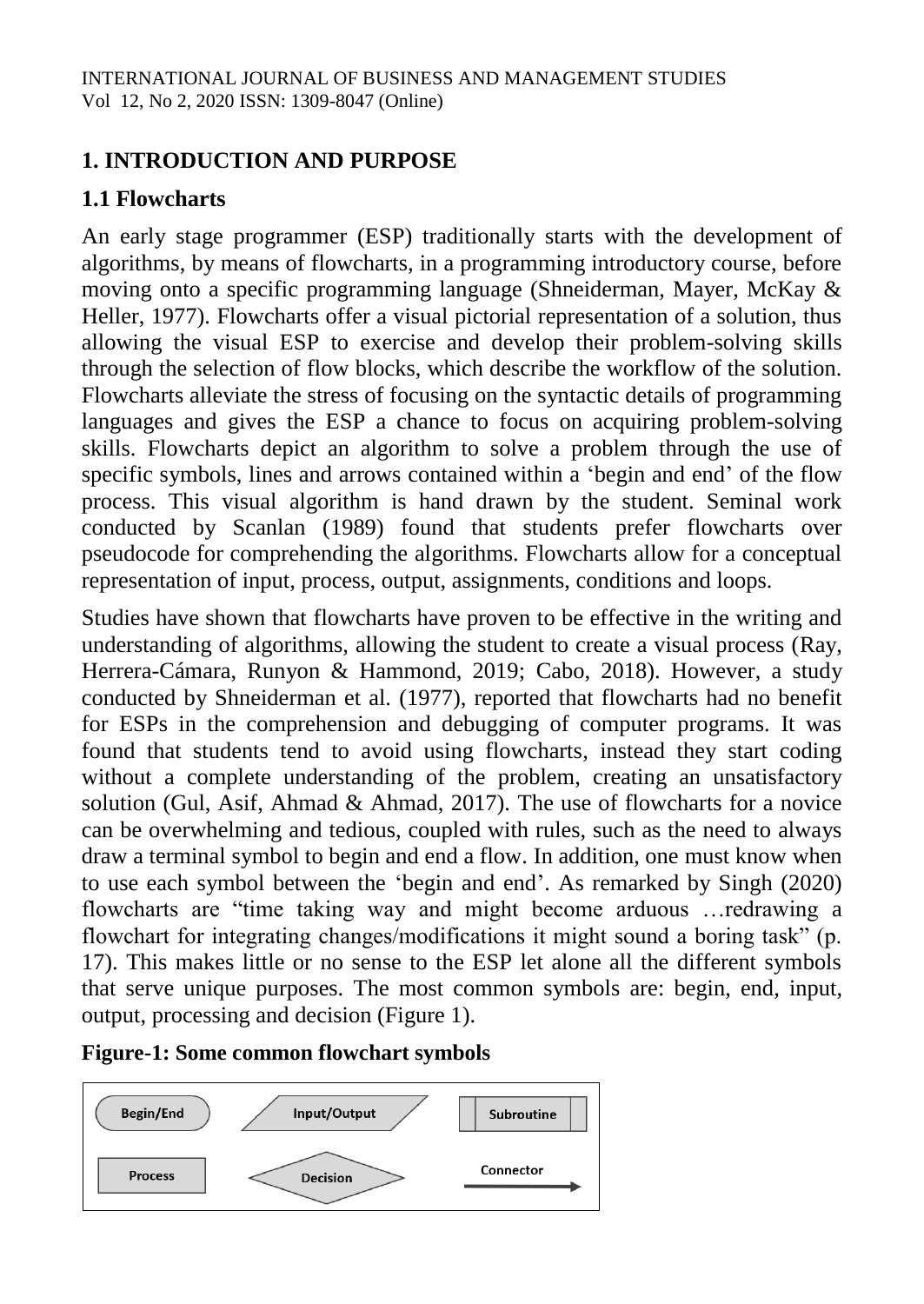# **1. INTRODUCTION AND PURPOSE**

# **1.1 Flowcharts**

An early stage programmer (ESP) traditionally starts with the development of algorithms, by means of flowcharts, in a programming introductory course, before moving onto a specific programming language (Shneiderman, Mayer, McKay & Heller, 1977). Flowcharts offer a visual pictorial representation of a solution, thus allowing the visual ESP to exercise and develop their problem-solving skills through the selection of flow blocks, which describe the workflow of the solution. Flowcharts alleviate the stress of focusing on the syntactic details of programming languages and gives the ESP a chance to focus on acquiring problem-solving skills. Flowcharts depict an algorithm to solve a problem through the use of specific symbols, lines and arrows contained within a 'begin and end' of the flow process. This visual algorithm is hand drawn by the student. Seminal work conducted by Scanlan (1989) found that students prefer flowcharts over pseudocode for comprehending the algorithms. Flowcharts allow for a conceptual representation of input, process, output, assignments, conditions and loops.

Studies have shown that flowcharts have proven to be effective in the writing and understanding of algorithms, allowing the student to create a visual process (Ray, Herrera-Cámara, Runyon & Hammond, 2019; Cabo, 2018). However, a study conducted by Shneiderman et al. (1977), reported that flowcharts had no benefit for ESPs in the comprehension and debugging of computer programs. It was found that students tend to avoid using flowcharts, instead they start coding without a complete understanding of the problem, creating an unsatisfactory solution (Gul, Asif, Ahmad & Ahmad, 2017). The use of flowcharts for a novice can be overwhelming and tedious, coupled with rules, such as the need to always draw a terminal symbol to begin and end a flow. In addition, one must know when to use each symbol between the 'begin and end'. As remarked by Singh (2020) flowcharts are "time taking way and might become arduous …redrawing a flowchart for integrating changes/modifications it might sound a boring task" (p. 17). This makes little or no sense to the ESP let alone all the different symbols that serve unique purposes. The most common symbols are: begin, end, input, output, processing and decision (Figure 1).

# **Figure-1: Some common flowchart symbols**

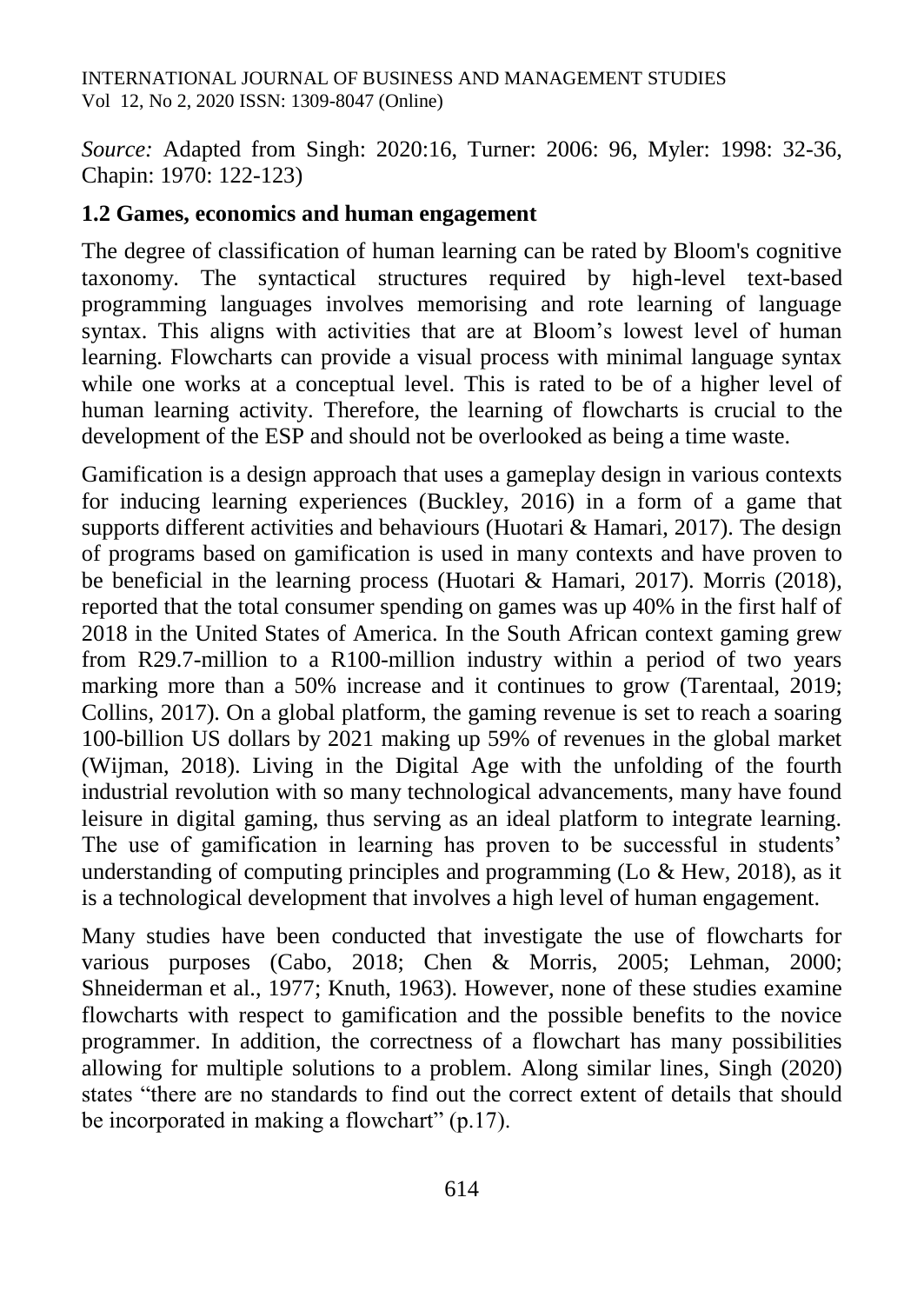*Source:* Adapted from Singh: 2020:16, Turner: 2006: 96, Myler: 1998: 32-36, Chapin: 1970: 122-123)

# **1.2 Games, economics and human engagement**

The degree of classification of human learning can be rated by Bloom's cognitive taxonomy. The syntactical structures required by high-level text-based programming languages involves memorising and rote learning of language syntax. This aligns with activities that are at Bloom's lowest level of human learning. Flowcharts can provide a visual process with minimal language syntax while one works at a conceptual level. This is rated to be of a higher level of human learning activity. Therefore, the learning of flowcharts is crucial to the development of the ESP and should not be overlooked as being a time waste.

Gamification is a design approach that uses a gameplay design in various contexts for inducing learning experiences (Buckley, 2016) in a form of a game that supports different activities and behaviours (Huotari & Hamari, 2017). The design of programs based on gamification is used in many contexts and have proven to be beneficial in the learning process (Huotari & Hamari, 2017). Morris (2018), reported that the total consumer spending on games was up 40% in the first half of 2018 in the United States of America. In the South African context gaming grew from R29.7-million to a R100-million industry within a period of two years marking more than a 50% increase and it continues to grow (Tarentaal, 2019; Collins, 2017). On a global platform, the gaming revenue is set to reach a soaring 100-billion US dollars by 2021 making up 59% of revenues in the global market (Wijman, 2018). Living in the Digital Age with the unfolding of the fourth industrial revolution with so many technological advancements, many have found leisure in digital gaming, thus serving as an ideal platform to integrate learning. The use of gamification in learning has proven to be successful in students' understanding of computing principles and programming (Lo & Hew, 2018), as it is a technological development that involves a high level of human engagement.

Many studies have been conducted that investigate the use of flowcharts for various purposes (Cabo, 2018; Chen & Morris, 2005; Lehman, 2000; Shneiderman et al., 1977; Knuth, 1963). However, none of these studies examine flowcharts with respect to gamification and the possible benefits to the novice programmer. In addition, the correctness of a flowchart has many possibilities allowing for multiple solutions to a problem. Along similar lines, Singh (2020) states "there are no standards to find out the correct extent of details that should be incorporated in making a flowchart" (p.17).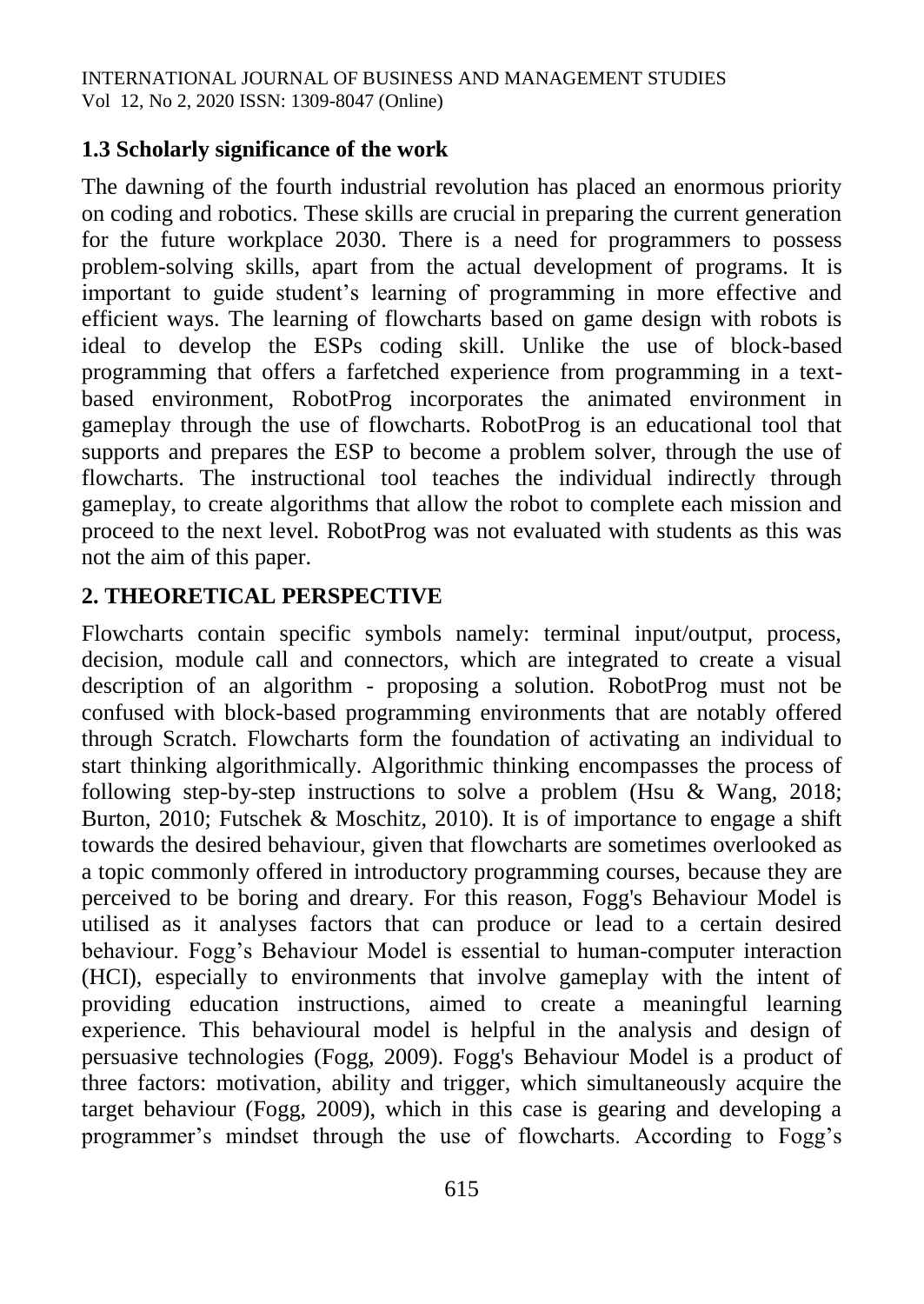# **1.3 Scholarly significance of the work**

The dawning of the fourth industrial revolution has placed an enormous priority on coding and robotics. These skills are crucial in preparing the current generation for the future workplace 2030. There is a need for programmers to possess problem-solving skills, apart from the actual development of programs. It is important to guide student's learning of programming in more effective and efficient ways. The learning of flowcharts based on game design with robots is ideal to develop the ESPs coding skill. Unlike the use of block-based programming that offers a farfetched experience from programming in a textbased environment, RobotProg incorporates the animated environment in gameplay through the use of flowcharts. RobotProg is an educational tool that supports and prepares the ESP to become a problem solver, through the use of flowcharts. The instructional tool teaches the individual indirectly through gameplay, to create algorithms that allow the robot to complete each mission and proceed to the next level. RobotProg was not evaluated with students as this was not the aim of this paper.

# **2. THEORETICAL PERSPECTIVE**

Flowcharts contain specific symbols namely: terminal input/output, process, decision, module call and connectors, which are integrated to create a visual description of an algorithm - proposing a solution. RobotProg must not be confused with block-based programming environments that are notably offered through Scratch. Flowcharts form the foundation of activating an individual to start thinking algorithmically. Algorithmic thinking encompasses the process of following step-by-step instructions to solve a problem (Hsu & Wang, 2018; Burton, 2010; Futschek & Moschitz, 2010). It is of importance to engage a shift towards the desired behaviour, given that flowcharts are sometimes overlooked as a topic commonly offered in introductory programming courses, because they are perceived to be boring and dreary. For this reason, Fogg's Behaviour Model is utilised as it analyses factors that can produce or lead to a certain desired behaviour. Fogg's Behaviour Model is essential to human-computer interaction (HCI), especially to environments that involve gameplay with the intent of providing education instructions, aimed to create a meaningful learning experience. This behavioural model is helpful in the analysis and design of persuasive technologies (Fogg, 2009). Fogg's Behaviour Model is a product of three factors: motivation, ability and trigger, which simultaneously acquire the target behaviour (Fogg, 2009), which in this case is gearing and developing a programmer's mindset through the use of flowcharts. According to Fogg's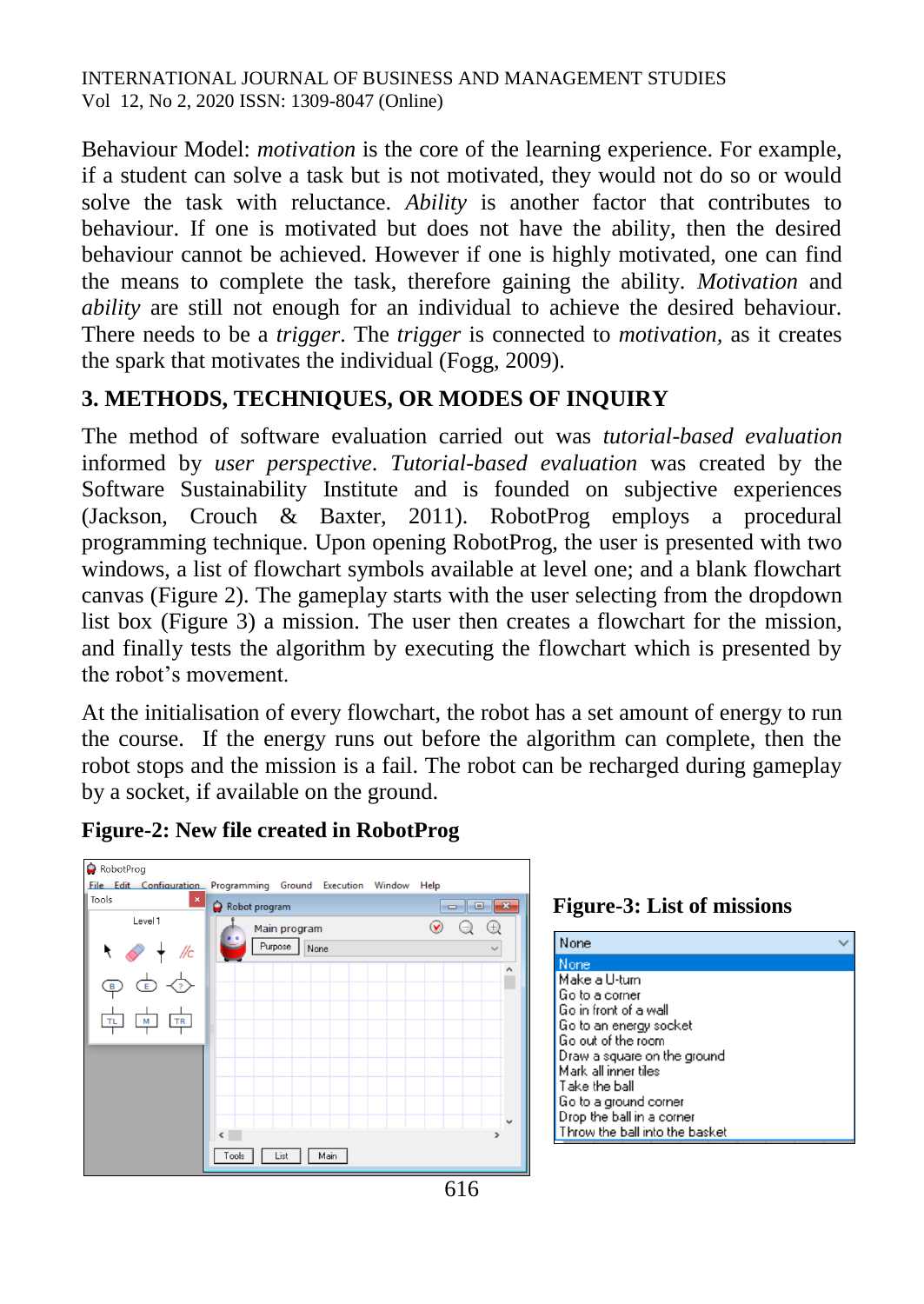Behaviour Model: *motivation* is the core of the learning experience. For example, if a student can solve a task but is not motivated, they would not do so or would solve the task with reluctance. *Ability* is another factor that contributes to behaviour. If one is motivated but does not have the ability, then the desired behaviour cannot be achieved. However if one is highly motivated, one can find the means to complete the task, therefore gaining the ability. *Motivation* and *ability* are still not enough for an individual to achieve the desired behaviour. There needs to be a *trigger*. The *trigger* is connected to *motivation,* as it creates the spark that motivates the individual (Fogg, 2009).

# **3. METHODS, TECHNIQUES, OR MODES OF INQUIRY**

The method of software evaluation carried out was *tutorial-based evaluation*  informed by *user perspective*. *Tutorial-based evaluation* was created by the Software Sustainability Institute and is founded on subjective experiences (Jackson, Crouch & Baxter, 2011). RobotProg employs a procedural programming technique. Upon opening RobotProg, the user is presented with two windows, a list of flowchart symbols available at level one; and a blank flowchart canvas (Figure 2). The gameplay starts with the user selecting from the dropdown list box (Figure 3) a mission. The user then creates a flowchart for the mission, and finally tests the algorithm by executing the flowchart which is presented by the robot's movement.

At the initialisation of every flowchart, the robot has a set amount of energy to run the course. If the energy runs out before the algorithm can complete, then the robot stops and the mission is a fail. The robot can be recharged during gameplay by a socket, if available on the ground.

#### **Figure-2: New file created in RobotProg**



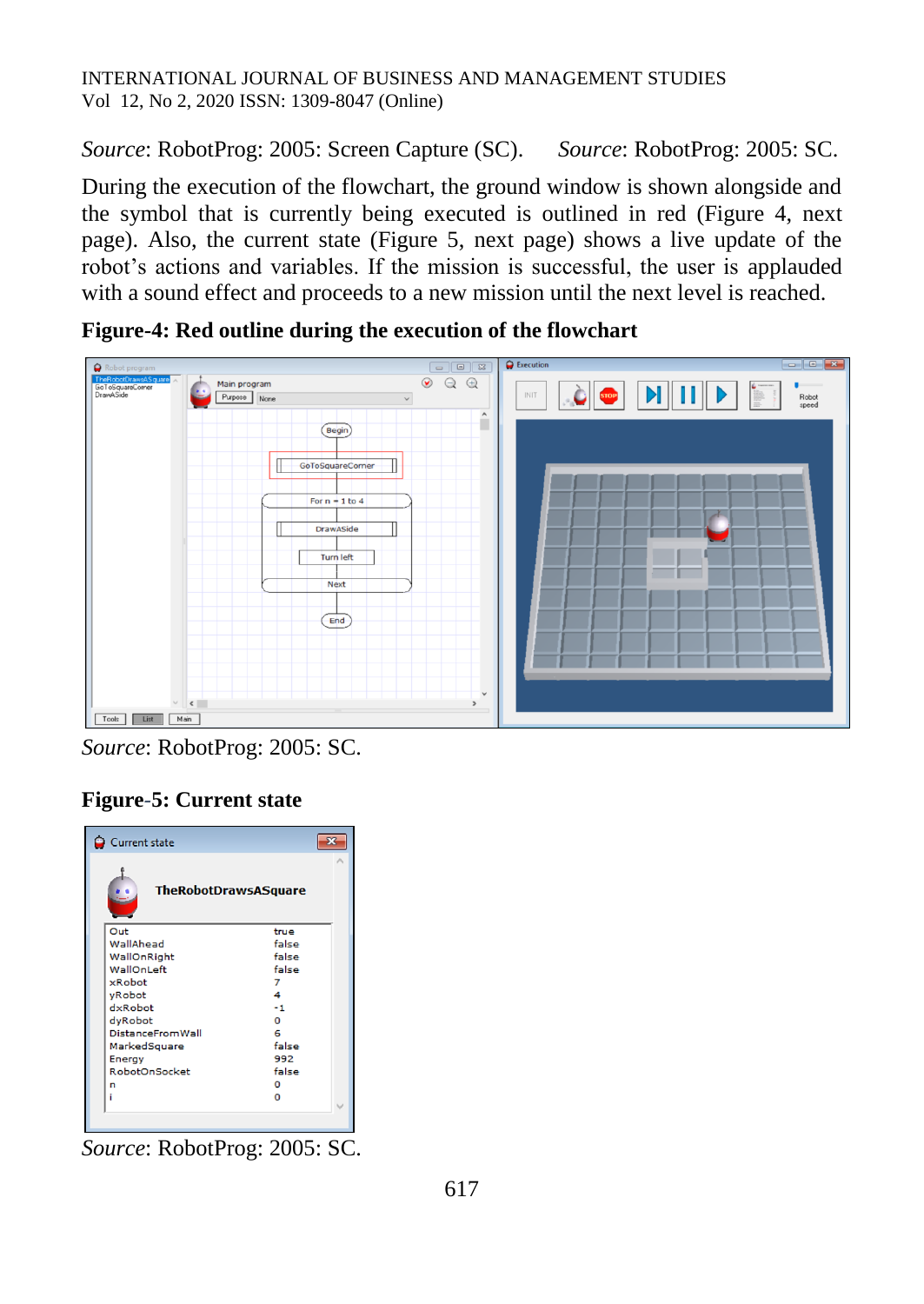*Source*: RobotProg: 2005: Screen Capture (SC). *Source*: RobotProg: 2005: SC.

During the execution of the flowchart, the ground window is shown alongside and the symbol that is currently being executed is outlined in red (Figure 4, next page). Also, the current state (Figure 5, next page) shows a live update of the robot's actions and variables. If the mission is successful, the user is applauded with a sound effect and proceeds to a new mission until the next level is reached.

 $\begin{tabular}{|c|c|c|c|c|} \hline \quad & \quad & \quad \quad & \quad \quad & \quad \quad \\ \hline \quad \quad & \quad \quad & \quad \quad & \quad \quad & \quad \quad \\ \hline \quad \quad & \quad \quad & \quad \quad & \quad \quad & \quad \quad \\ \hline \end{tabular}$  $\ddot{\mathbf{Q}}$  $\circledcirc$   $\circledcirc$   $\circledcirc$ Main program i nerias<br>GoToSq Purpose None  $\hat{ }$  $\overline{(\mathsf{Begin})}$ GoToSquareCorner 71 For  $n = 1$  to 4 **DrawASide** Turn left **Next**  $($  End Tools | List | Main

**Figure-4: Red outline during the execution of the flowchart**

*Source*: RobotProg: 2005: SC.

# **Figure***-***5: Current state**

| Current state               |       |  |
|-----------------------------|-------|--|
| <b>TheRobotDrawsASquare</b> |       |  |
| Out                         | true  |  |
| WallAhead                   | false |  |
| WallOnRight                 | false |  |
| WallOnLeft                  | false |  |
| xRobot                      | 7     |  |
| yRobot                      | 4     |  |
| dxRobot                     | -1    |  |
| dyRobot                     | n     |  |
| <b>DistanceFromWall</b>     | 6     |  |
| MarkedSquare                | false |  |
| Energy                      | 992   |  |
| RobotOnSocket               | false |  |
| n                           | o     |  |
| i                           | o     |  |
|                             |       |  |
|                             |       |  |

*Source*: RobotProg: 2005: SC.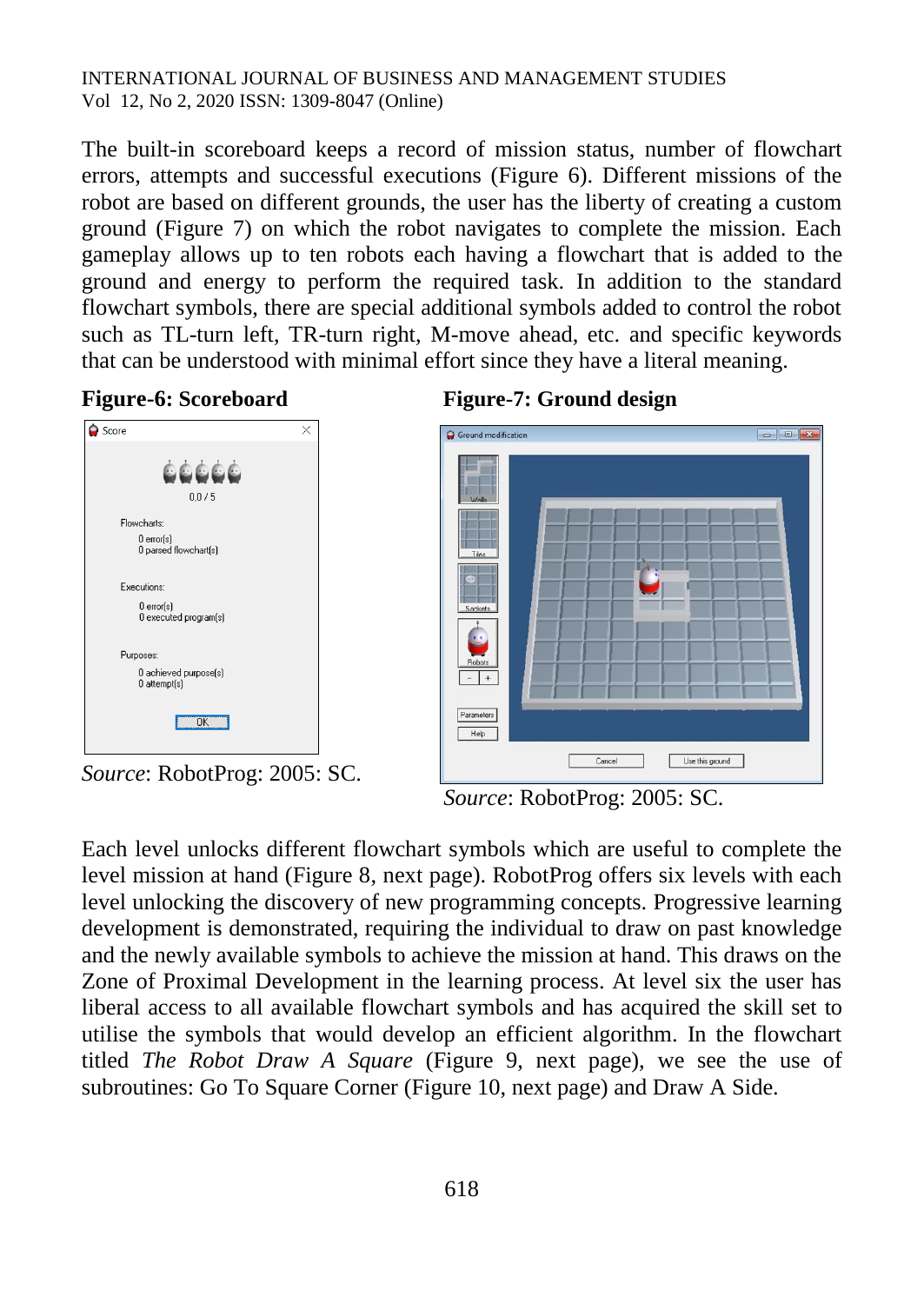The built-in scoreboard keeps a record of mission status, number of flowchart errors, attempts and successful executions (Figure 6). Different missions of the robot are based on different grounds, the user has the liberty of creating a custom ground (Figure 7) on which the robot navigates to complete the mission. Each gameplay allows up to ten robots each having a flowchart that is added to the ground and energy to perform the required task. In addition to the standard flowchart symbols, there are special additional symbols added to control the robot such as TL-turn left, TR-turn right, M-move ahead, etc. and specific keywords that can be understood with minimal effort since they have a literal meaning.





*Source*: RobotProg: 2005: SC.





*Source*: RobotProg: 2005: SC.

Each level unlocks different flowchart symbols which are useful to complete the level mission at hand (Figure 8, next page). RobotProg offers six levels with each level unlocking the discovery of new programming concepts. Progressive learning development is demonstrated, requiring the individual to draw on past knowledge and the newly available symbols to achieve the mission at hand. This draws on the Zone of Proximal Development in the learning process. At level six the user has liberal access to all available flowchart symbols and has acquired the skill set to utilise the symbols that would develop an efficient algorithm. In the flowchart titled *The Robot Draw A Square* (Figure 9, next page), we see the use of subroutines: Go To Square Corner (Figure 10, next page) and Draw A Side.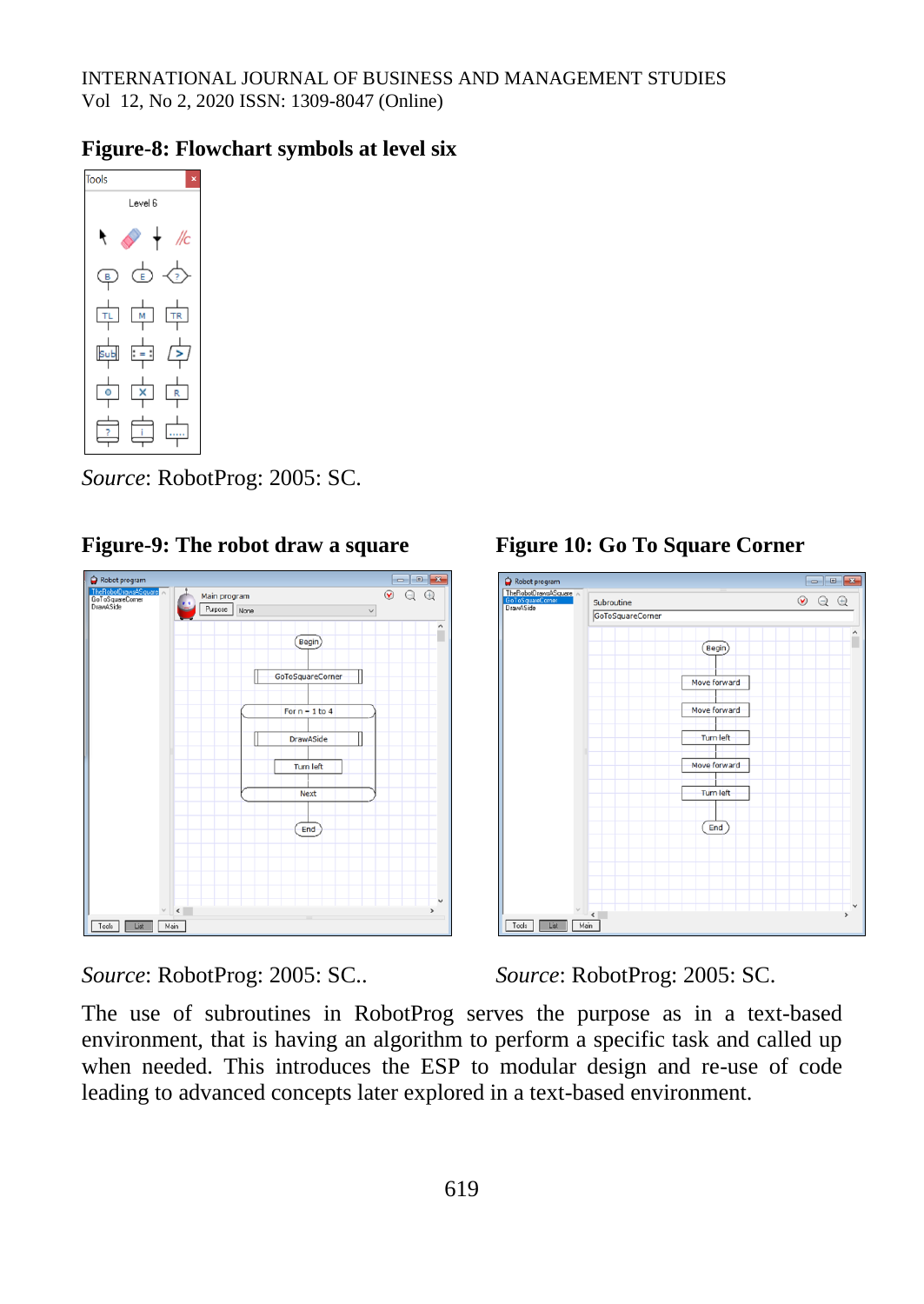#### **Figure-8: Flowchart symbols at level six**



*Source*: RobotProg: 2005: SC.

Figure-9: The robot draw a square Figure 10: Go To Square Corner



*Source*: RobotProg: 2005: SC.. *Source*: RobotProg: 2005: SC.

The use of subroutines in RobotProg serves the purpose as in a text-based environment, that is having an algorithm to perform a specific task and called up when needed. This introduces the ESP to modular design and re-use of code leading to advanced concepts later explored in a text-based environment.

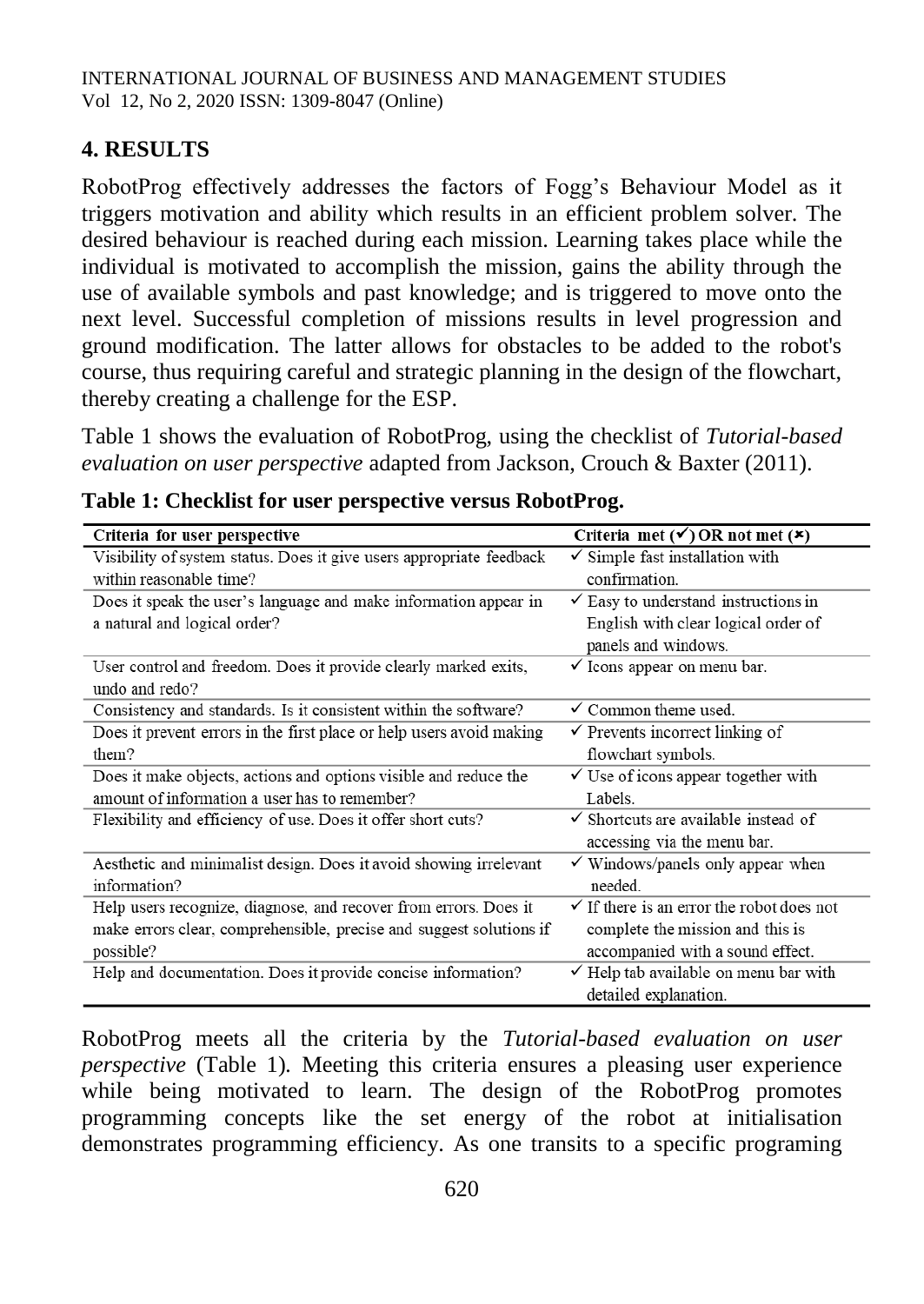# **4. RESULTS**

RobotProg effectively addresses the factors of Fogg's Behaviour Model as it triggers motivation and ability which results in an efficient problem solver. The desired behaviour is reached during each mission. Learning takes place while the individual is motivated to accomplish the mission, gains the ability through the use of available symbols and past knowledge; and is triggered to move onto the next level. Successful completion of missions results in level progression and ground modification. The latter allows for obstacles to be added to the robot's course, thus requiring careful and strategic planning in the design of the flowchart, thereby creating a challenge for the ESP.

Table 1 shows the evaluation of RobotProg, using the checklist of *Tutorial-based evaluation on user perspective* adapted from Jackson, Crouch & Baxter (2011).

| Criteria for user perspective                                        | Criteria met $(\checkmark)$ OR not met $(\checkmark)$ |
|----------------------------------------------------------------------|-------------------------------------------------------|
| Visibility of system status. Does it give users appropriate feedback | $\checkmark$ Simple fast installation with            |
| within reasonable time?                                              | confirmation.                                         |
| Does it speak the user's language and make information appear in     | $\checkmark$ Easy to understand instructions in       |
| a natural and logical order?                                         | English with clear logical order of                   |
|                                                                      | panels and windows.                                   |
| User control and freedom. Does it provide clearly marked exits,      | $\checkmark$ Icons appear on menu bar.                |
| undo and redo?                                                       |                                                       |
| Consistency and standards. Is it consistent within the software?     | $\checkmark$ Common theme used.                       |
| Does it prevent errors in the first place or help users avoid making | $\checkmark$ Prevents incorrect linking of            |
| them?                                                                | flowchart symbols.                                    |
| Does it make objects, actions and options visible and reduce the     | $\checkmark$ Use of icons appear together with        |
| amount of information a user has to remember?                        | Labels.                                               |
| Flexibility and efficiency of use. Does it offer short cuts?         | $\checkmark$ Shortcuts are available instead of       |
|                                                                      | accessing via the menu bar.                           |
| Aesthetic and minimalist design. Does it avoid showing irrelevant    | $\checkmark$ Windows/panels only appear when          |
| information?                                                         | needed.                                               |
| Help users recognize, diagnose, and recover from errors. Does it     | $\checkmark$ If there is an error the robot does not  |
| make errors clear, comprehensible, precise and suggest solutions if  | complete the mission and this is                      |
| possible?                                                            | accompanied with a sound effect.                      |
| Help and documentation. Does it provide concise information?         | $\checkmark$ Help tab available on menu bar with      |
|                                                                      | detailed explanation.                                 |

**Table 1: Checklist for user perspective versus RobotProg.**

RobotProg meets all the criteria by the *Tutorial-based evaluation on user perspective* (Table 1)*.* Meeting this criteria ensures a pleasing user experience while being motivated to learn. The design of the RobotProg promotes programming concepts like the set energy of the robot at initialisation demonstrates programming efficiency. As one transits to a specific programing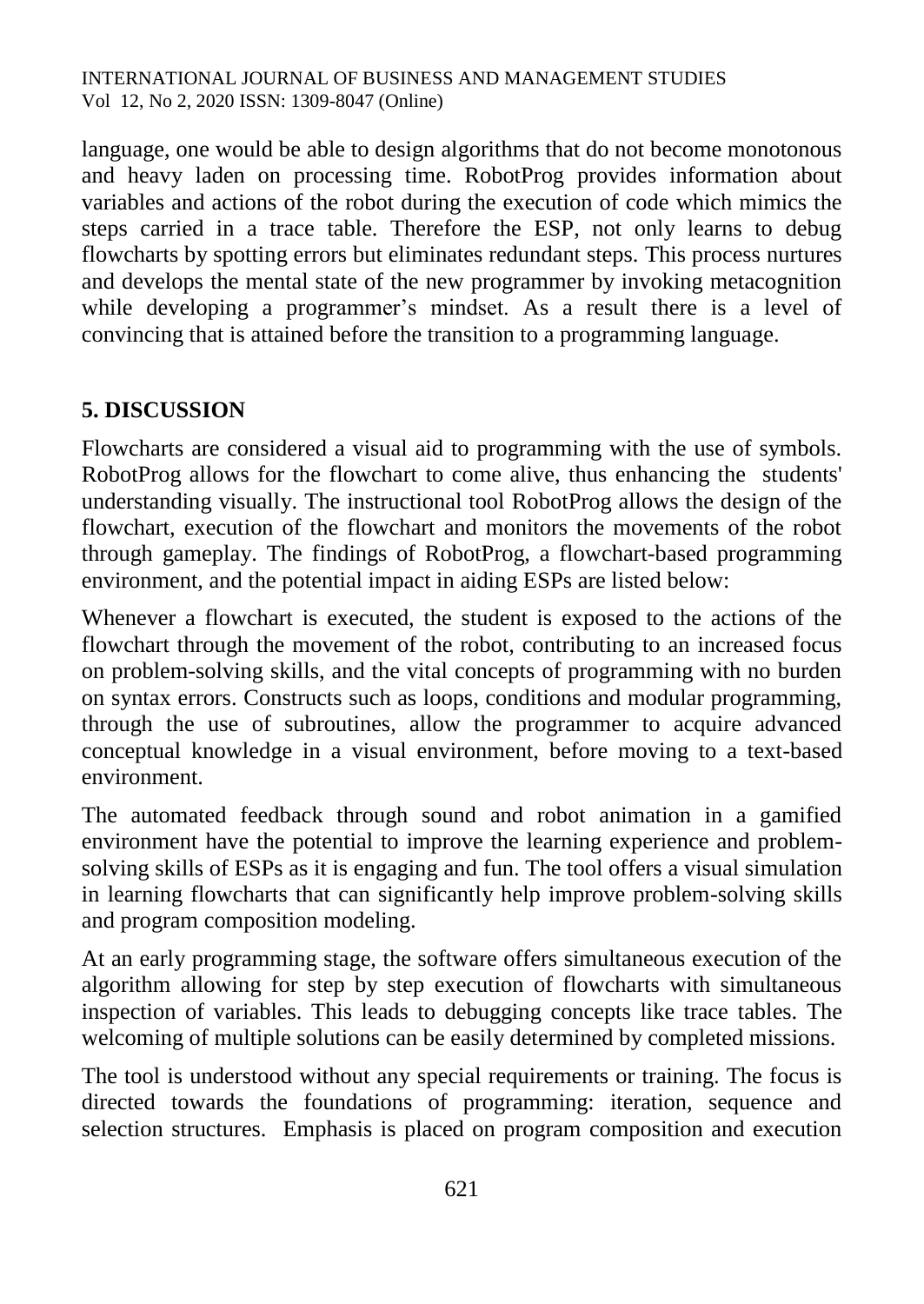language, one would be able to design algorithms that do not become monotonous and heavy laden on processing time. RobotProg provides information about variables and actions of the robot during the execution of code which mimics the steps carried in a trace table. Therefore the ESP, not only learns to debug flowcharts by spotting errors but eliminates redundant steps. This process nurtures and develops the mental state of the new programmer by invoking metacognition while developing a programmer's mindset. As a result there is a level of convincing that is attained before the transition to a programming language.

# **5. DISCUSSION**

Flowcharts are considered a visual aid to programming with the use of symbols. RobotProg allows for the flowchart to come alive, thus enhancing the students' understanding visually. The instructional tool RobotProg allows the design of the flowchart, execution of the flowchart and monitors the movements of the robot through gameplay. The findings of RobotProg, a flowchart-based programming environment, and the potential impact in aiding ESPs are listed below:

Whenever a flowchart is executed, the student is exposed to the actions of the flowchart through the movement of the robot, contributing to an increased focus on problem-solving skills, and the vital concepts of programming with no burden on syntax errors. Constructs such as loops, conditions and modular programming, through the use of subroutines, allow the programmer to acquire advanced conceptual knowledge in a visual environment, before moving to a text-based environment.

The automated feedback through sound and robot animation in a gamified environment have the potential to improve the learning experience and problemsolving skills of ESPs as it is engaging and fun. The tool offers a visual simulation in learning flowcharts that can significantly help improve problem-solving skills and program composition modeling.

At an early programming stage, the software offers simultaneous execution of the algorithm allowing for step by step execution of flowcharts with simultaneous inspection of variables. This leads to debugging concepts like trace tables. The welcoming of multiple solutions can be easily determined by completed missions.

The tool is understood without any special requirements or training. The focus is directed towards the foundations of programming: iteration, sequence and selection structures. Emphasis is placed on program composition and execution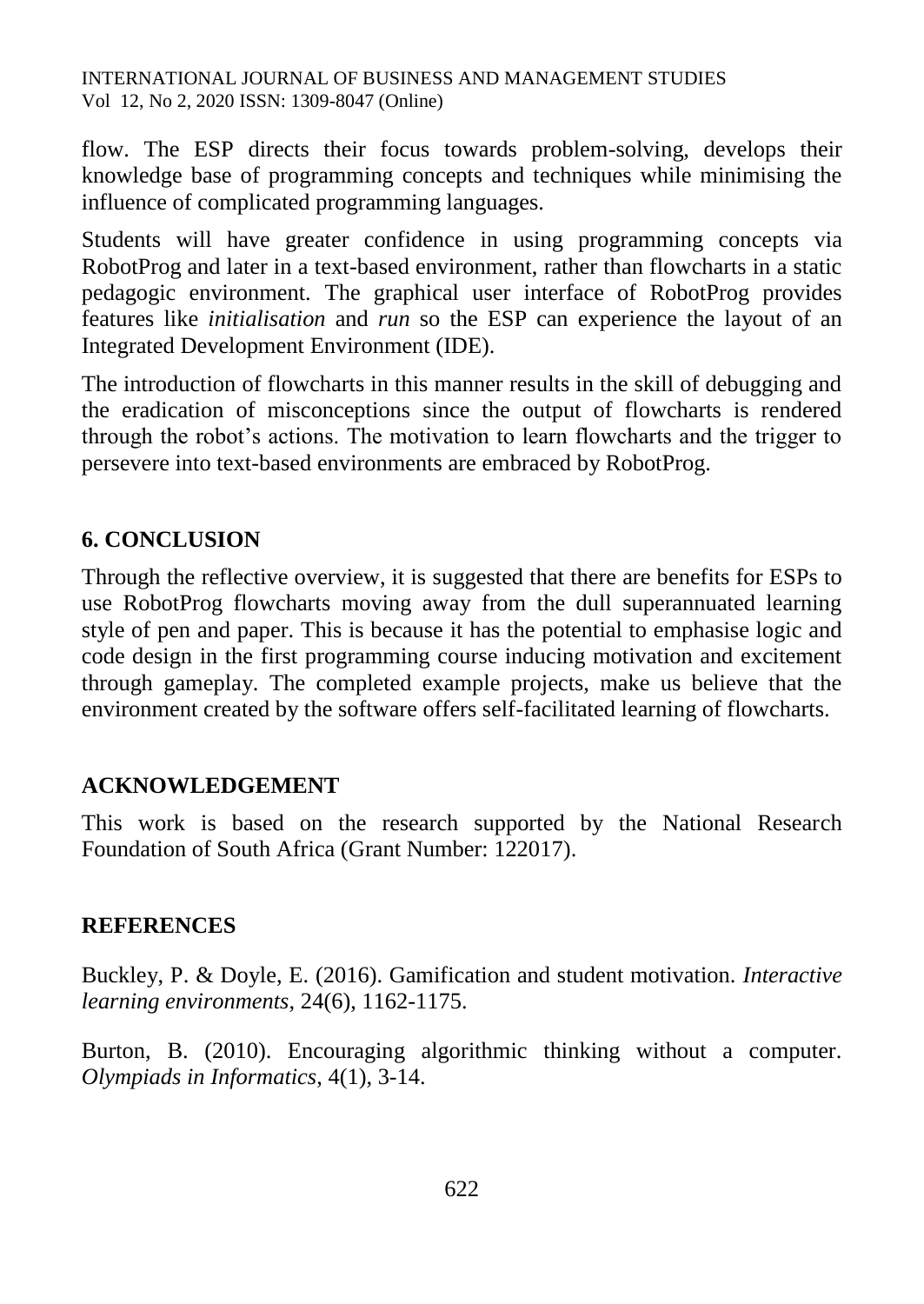flow. The ESP directs their focus towards problem-solving, develops their knowledge base of programming concepts and techniques while minimising the influence of complicated programming languages.

Students will have greater confidence in using programming concepts via RobotProg and later in a text-based environment, rather than flowcharts in a static pedagogic environment. The graphical user interface of RobotProg provides features like *initialisation* and *run* so the ESP can experience the layout of an Integrated Development Environment (IDE).

The introduction of flowcharts in this manner results in the skill of debugging and the eradication of misconceptions since the output of flowcharts is rendered through the robot's actions. The motivation to learn flowcharts and the trigger to persevere into text-based environments are embraced by RobotProg.

# **6. CONCLUSION**

Through the reflective overview, it is suggested that there are benefits for ESPs to use RobotProg flowcharts moving away from the dull superannuated learning style of pen and paper. This is because it has the potential to emphasise logic and code design in the first programming course inducing motivation and excitement through gameplay. The completed example projects, make us believe that the environment created by the software offers self-facilitated learning of flowcharts.

# **ACKNOWLEDGEMENT**

This work is based on the research supported by the National Research Foundation of South Africa (Grant Number: 122017).

# **REFERENCES**

Buckley, P. & Doyle, E. (2016). Gamification and student motivation. *Interactive learning environments*, 24(6), 1162-1175.

Burton, B. (2010). Encouraging algorithmic thinking without a computer. *Olympiads in Informatics*, 4(1), 3-14.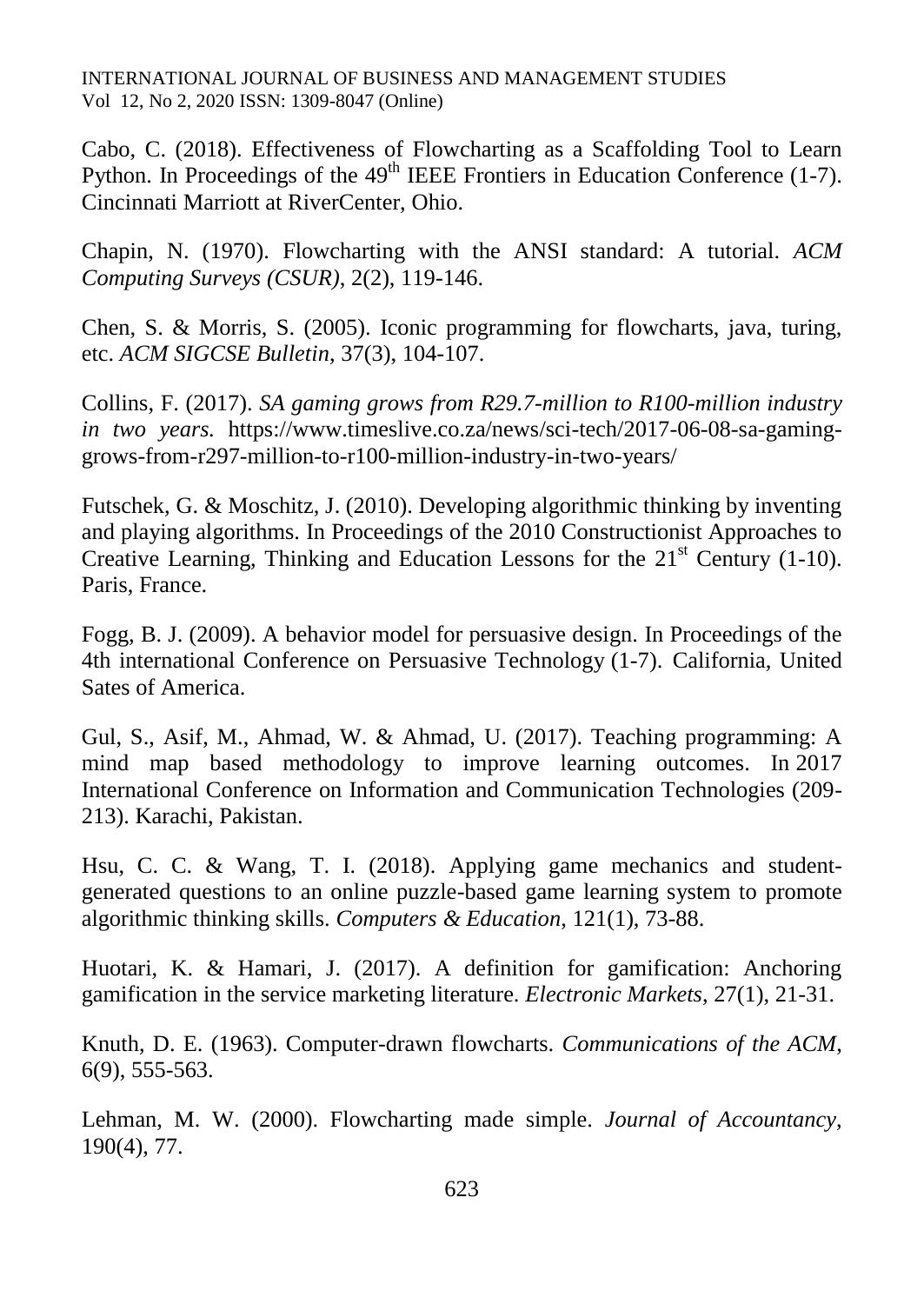Cabo, C. (2018). Effectiveness of Flowcharting as a Scaffolding Tool to Learn Python. In Proceedings of the  $49<sup>th</sup>$  IEEE Frontiers in Education Conference (1-7). Cincinnati Marriott at RiverCenter, Ohio.

Chapin, N. (1970). Flowcharting with the ANSI standard: A tutorial. *ACM Computing Surveys (CSUR)*, 2(2), 119-146.

Chen, S. & Morris, S. (2005). Iconic programming for flowcharts, java, turing, etc. *ACM SIGCSE Bulletin*, 37(3), 104-107.

Collins, F. (2017). *SA gaming grows from R29.7-million to R100-million industry in two years.* https://www.timeslive.co.za/news/sci-tech/2017-06-08-sa-gaminggrows-from-r297-million-to-r100-million-industry-in-two-years/

Futschek, G. & Moschitz, J. (2010). Developing algorithmic thinking by inventing and playing algorithms. In Proceedings of the 2010 Constructionist Approaches to Creative Learning, Thinking and Education Lessons for the  $21<sup>st</sup>$  Century (1-10). Paris, France.

Fogg, B. J. (2009). A behavior model for persuasive design. In Proceedings of the 4th international Conference on Persuasive Technology (1-7). California, United Sates of America.

Gul, S., Asif, M., Ahmad, W. & Ahmad, U. (2017). Teaching programming: A mind map based methodology to improve learning outcomes. In 2017 International Conference on Information and Communication Technologies (209- 213). Karachi, Pakistan.

Hsu, C. C. & Wang, T. I. (2018). Applying game mechanics and studentgenerated questions to an online puzzle-based game learning system to promote algorithmic thinking skills. *Computers & Education*, 121(1), 73-88.

Huotari, K. & Hamari, J. (2017). A definition for gamification: Anchoring gamification in the service marketing literature. *Electronic Markets*, 27(1), 21-31.

Knuth, D. E. (1963). Computer-drawn flowcharts. *Communications of the ACM*, 6(9), 555-563.

Lehman, M. W. (2000). Flowcharting made simple. *Journal of Accountancy*, 190(4), 77.